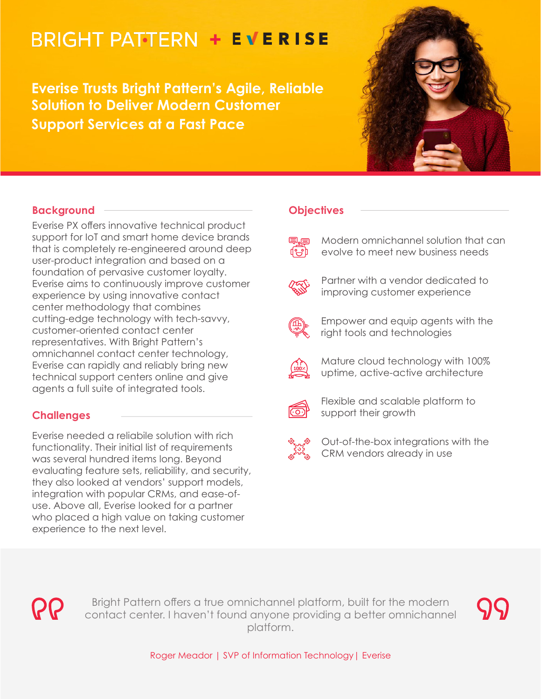# **BRIGHT PATTERN + EVERISE**

**Everise Trusts Bright Pattern's Agile, Reliable Solution to Deliver Modern Customer Support Services at a Fast Pace**



# **Background**

Everise PX offers innovative technical product support for IoT and smart home device brands that is completely re-engineered around deep user-product integration and based on a foundation of pervasive customer loyalty. Everise aims to continuously improve customer experience by using innovative contact center methodology that combines cutting-edge technology with tech-savvy, customer-oriented contact center representatives. With Bright Pattern's omnichannel contact center technology, Everise can rapidly and reliably bring new technical support centers online and give agents a full suite of integrated tools.

# **Challenges**

Everise needed a reliabile solution with rich functionality. Their initial list of requirements was several hundred items long. Beyond evaluating feature sets, reliability, and security, they also looked at vendors' support models, integration with popular CRMs, and ease-ofuse. Above all, Everise looked for a partner who placed a high value on taking customer experience to the next level.

## **Objectives**

| <b>早早</b> Modern omnichannel solution that can<br>(a) evolve to meet new business needs |
|-----------------------------------------------------------------------------------------|
|                                                                                         |



Partner with a vendor dedicated to improving customer experience



Empower and equip agents with the right tools and technologies



Mature cloud technology with 100% uptime, active-active architecture



Flexible and scalable platform to support their growth



Out-of-the-box integrations with the CRM vendors already in use



Bright Pattern offers a true omnichannel platform, built for the modern contact center. I haven't found anyone providing a better omnichannel platform.